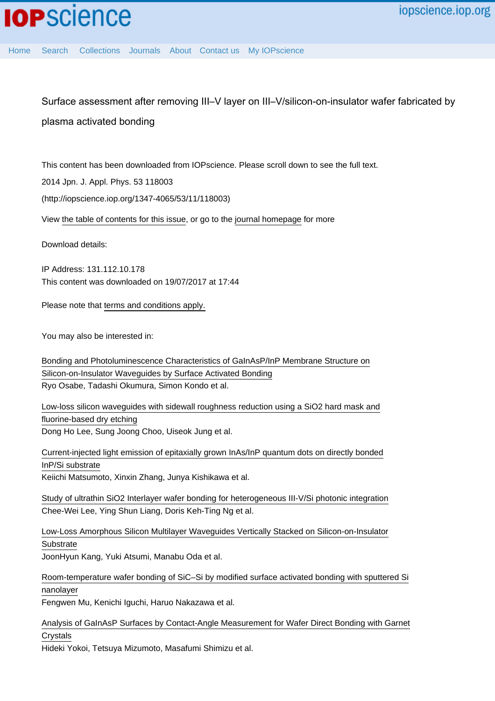[Home](http://iopscience.iop.org/) [Search](http://iopscience.iop.org/search) [Collections](http://iopscience.iop.org/collections) [Journals](http://iopscience.iop.org/journals) [About](http://iopscience.iop.org/page/aboutioppublishing) [Contact us](http://iopscience.iop.org/contact) [My IOPscience](http://iopscience.iop.org/myiopscience)

Surface assessment after removing III–V layer on III–V/silicon-on-insulator wafer fabricated by plasma activated bonding

This content has been downloaded from IOPscience. Please scroll down to see the full text.

2014 Jpn. J. Appl. Phys. 53 118003

(http://iopscience.iop.org/1347-4065/53/11/118003)

View [the table of contents for this issue](http://iopscience.iop.org/1347-4065/53/11), or go to the [journal homepage](http://iopscience.iop.org/1347-4065) for more

Download details:

IP Address: 131.112.10.178 This content was downloaded on 19/07/2017 at 17:44

Please note that [terms and conditions apply.](http://iopscience.iop.org/page/terms)

You may also be interested in:

[Bonding and Photoluminescence Characteristics of GaInAsP/InP Membrane Structure on](http://iopscience.iop.org/article/10.1143/JJAP.50.088005) [Silicon-on-Insulator Waveguides by Surface Activated Bonding](http://iopscience.iop.org/article/10.1143/JJAP.50.088005) Ryo Osabe, Tadashi Okumura, Simon Kondo et al.

[Low-loss silicon waveguides with sidewall roughness reduction using a SiO2 hard mask and](http://iopscience.iop.org/article/10.1088/0960-1317/25/1/015003) [fluorine-based dry etching](http://iopscience.iop.org/article/10.1088/0960-1317/25/1/015003) Dong Ho Lee, Sung Joong Choo, Uiseok Jung et al.

[Current-injected light emission of epitaxially grown InAs/InP quantum dots on directly bonded](http://iopscience.iop.org/article/10.7567/JJAP.54.030208) [InP/Si substrate](http://iopscience.iop.org/article/10.7567/JJAP.54.030208) Keiichi Matsumoto, Xinxin Zhang, Junya Kishikawa et al.

[Study of ultrathin SiO2 Interlayer wafer bonding for heterogeneous III-V/Si photonic integration](http://iopscience.iop.org/article/10.1088/2053-1591/2/9/096201) Chee-Wei Lee, Ying Shun Liang, Doris Keh-Ting Ng et al.

[Low-Loss Amorphous Silicon Multilayer Waveguides Vertically Stacked on Silicon-on-Insulator](http://iopscience.iop.org/article/10.1143/JJAP.50.120208) **[Substrate](http://iopscience.iop.org/article/10.1143/JJAP.50.120208)** 

JoonHyun Kang, Yuki Atsumi, Manabu Oda et al.

[Room-temperature wafer bonding of SiC–Si by modified surface activated bonding with sputtered Si](http://iopscience.iop.org/article/10.7567/JJAP.55.04EC09) [nanolayer](http://iopscience.iop.org/article/10.7567/JJAP.55.04EC09)

Fengwen Mu, Kenichi Iguchi, Haruo Nakazawa et al.

[Analysis of GaInAsP Surfaces by Contact-Angle Measurement for Wafer Direct Bonding with Garnet](http://iopscience.iop.org/article/10.1143/JJAP.38.4780) **[Crystals](http://iopscience.iop.org/article/10.1143/JJAP.38.4780)** 

Hideki Yokoi, Tetsuya Mizumoto, Masafumi Shimizu et al.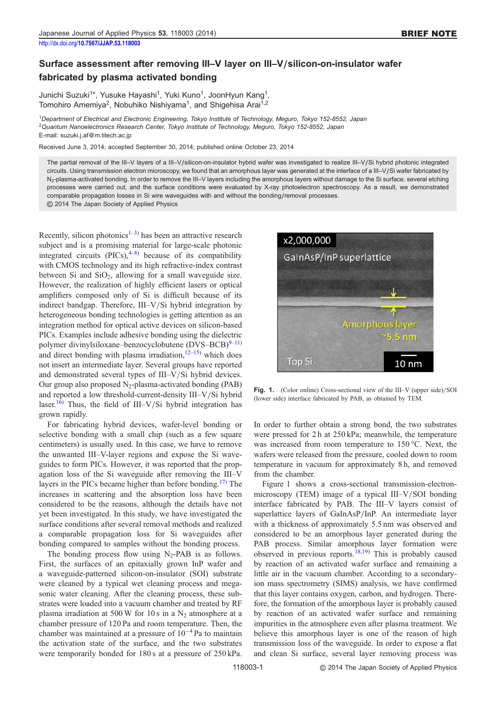## Surface assessment after removing III–V layer on III–V/silicon-on-insulator wafer fabricated by plasma activated bonding

Junichi Suzuki<sup>1\*</sup>, Yusuke Hayashi<sup>1</sup>, Yuki Kuno<sup>1</sup>, JoonHyun Kang<sup>1</sup>, Tomohiro Amemiya<sup>2</sup>, Nobuhiko Nishiyama<sup>1</sup>, and Shigehisa Arai<sup>1,2</sup>

<sup>1</sup>Department of Electrical and Electronic Engineering, Tokyo Institute of Technology, Meguro, Tokyo 152-8552, Japan <sup>2</sup>Quantum Nanoelectronics Research Center, Tokyo Institute of Technology, Meguro, Tokyo 152-8552, Japan E-mail: suzuki.j.af@m.titech.ac.jp

Received June 3, 2014; accepted September 30, 2014; published online October 23, 2014

The partial removal of the III–V layers of a III–V/silicon-on-insulator hybrid wafer was investigated to realize III–V/Si hybrid photonic integrated circuits. Using transmission electron microscopy, we found that an amorphous layer was generated at the interface of a III–V/Si wafer fabricated by N<sub>2</sub>-plasma-activated bonding. In order to remove the III–V layers including the amorphous layers without damage to the Si surface, several etching processes were carried out, and the surface conditions were evaluated by X-ray photoelectron spectroscopy. As a result, we demonstrated comparable propagation losses in Si wire waveguides with and without the bonding/removal processes. © 2014 The Japan Society of Applied Physics

Recently, silicon photonics<sup>[1](#page-3-0)–[3\)](#page-3-0)</sup> has been an attractive research subject and is a promising material for large-scale photonic integrated circuits  $(PICs)$ ,  $4-8$  $4-8$  because of its compatibility with CMOS technology and its high refractive-index contrast between Si and  $SiO<sub>2</sub>$ , allowing for a small waveguide size. However, the realization of highly efficient lasers or optical amplifiers composed only of Si is difficult because of its indirect bandgap. Therefore, III–V/Si hybrid integration by heterogeneous bonding technologies is getting attention as an integration method for optical active devices on silicon-based PICs. Examples include adhesive bonding using the dielectric polymer divinylsiloxane–benzocyclobutene  $(DVS-BCB)^{9-11}$  $(DVS-BCB)^{9-11}$  $(DVS-BCB)^{9-11}$  $(DVS-BCB)^{9-11}$  $(DVS-BCB)^{9-11}$ and direct bonding with plasma irradiation, $12-15$  $12-15$  $12-15$ ) which does not insert an intermediate layer. Several groups have reported and demonstrated several types of III–V/Si hybrid devices. Our group also proposed  $N_2$ -plasma-activated bonding (PAB) and reported a low threshold-current-density III–V/Si hybrid laser.<sup>[16](#page-3-0))</sup> Thus, the field of III–V/Si hybrid integration has grown rapidly.

For fabricating hybrid devices, wafer-level bonding or selective bonding with a small chip (such as a few square centimeters) is usually used. In this case, we have to remove the unwanted III–V-layer regions and expose the Si waveguides to form PICs. However, it was reported that the propagation loss of the Si waveguide after removing the III–V layers in the PICs became higher than before bonding.<sup>[17](#page-3-0))</sup> The increases in scattering and the absorption loss have been considered to be the reasons, although the details have not yet been investigated. In this study, we have investigated the surface conditions after several removal methods and realized a comparable propagation loss for Si waveguides after bonding compared to samples without the bonding process.

The bonding process flow using  $N_2$ -PAB is as follows. First, the surfaces of an epitaxially grown InP wafer and a waveguide-patterned silicon-on-insulator (SOI) substrate were cleaned by a typical wet cleaning process and megasonic water cleaning. After the cleaning process, these substrates were loaded into a vacuum chamber and treated by RF plasma irradiation at 500 W for 10 s in a  $N_2$  atmosphere at a chamber pressure of 120 Pa and room temperature. Then, the chamber was maintained at a pressure of  $10^{-4}$  Pa to maintain the activation state of the surface, and the two substrates were temporarily bonded for 180 s at a pressure of 250 kPa.



Fig. 1. (Color online) Cross-sectional view of the III–V (upper side)/SOI (lower side) interface fabricated by PAB, as obtained by TEM.

In order to further obtain a strong bond, the two substrates were pressed for 2 h at 250 kPa; meanwhile, the temperature was increased from room temperature to 150 °C. Next, the wafers were released from the pressure, cooled down to room temperature in vacuum for approximately 8 h, and removed from the chamber.

Figure 1 shows a cross-sectional transmission-electronmicroscopy (TEM) image of a typical III–V/SOI bonding interface fabricated by PAB. The III–V layers consist of superlattice layers of GaInAsP/InP. An intermediate layer with a thickness of approximately 5.5 nm was observed and considered to be an amorphous layer generated during the PAB process. Similar amorphous layer formation were observed in previous reports.<sup>18,19</sup> This is probably caused by reaction of an activated wafer surface and remaining a little air in the vacuum chamber. According to a secondaryion mass spectrometry (SIMS) analysis, we have confirmed that this layer contains oxygen, carbon, and hydrogen. Therefore, the formation of the amorphous layer is probably caused by reaction of an activated wafer surface and remaining impurities in the atmosphere even after plasma treatment. We believe this amorphous layer is one of the reason of high transmission loss of the waveguide. In order to expose a flat and clean Si surface, several layer removing process was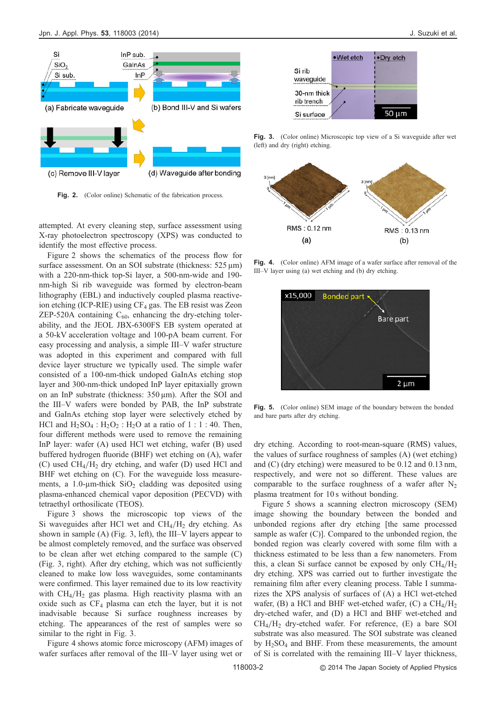

Fig. 2. (Color online) Schematic of the fabrication process.

attempted. At every cleaning step, surface assessment using X-ray photoelectron spectroscopy (XPS) was conducted to identify the most effective process.

Figure 2 shows the schematics of the process flow for surface assessment. On an SOI substrate (thickness:  $525 \,\mu m$ ) with a 220-nm-thick top-Si layer, a 500-nm-wide and 190 nm-high Si rib waveguide was formed by electron-beam lithography (EBL) and inductively coupled plasma reactiveion etching (ICP-RIE) using  $CF_4$  gas. The EB resist was Zeon ZEP-520A containing  $C_{60}$ , enhancing the dry-etching tolerability, and the JEOL JBX-6300FS EB system operated at a 50-kV acceleration voltage and 100-pA beam current. For easy processing and analysis, a simple III–V wafer structure was adopted in this experiment and compared with full device layer structure we typically used. The simple wafer consisted of a 100-nm-thick undoped GaInAs etching stop layer and 300-nm-thick undoped InP layer epitaxially grown on an InP substrate (thickness:  $350 \,\text{\mu m}$ ). After the SOI and the III–V wafers were bonded by PAB, the InP substrate and GaInAs etching stop layer were selectively etched by HCl and  $H_2SO_4$ :  $H_2O_2$ :  $H_2O$  at a ratio of 1:1:40. Then, four different methods were used to remove the remaining InP layer: wafer (A) used HCl wet etching, wafer (B) used buffered hydrogen fluoride (BHF) wet etching on (A), wafer (C) used  $CH_4/H_2$  dry etching, and wafer (D) used HCl and BHF wet etching on (C). For the waveguide loss measurements, a 1.0-µm-thick  $SiO<sub>2</sub>$  cladding was deposited using plasma-enhanced chemical vapor deposition (PECVD) with tetraethyl orthosilicate (TEOS).

Figure 3 shows the microscopic top views of the Si waveguides after HCl wet and  $CH<sub>4</sub>/H<sub>2</sub>$  dry etching. As shown in sample (A) (Fig. 3, left), the III–V layers appear to be almost completely removed, and the surface was observed to be clean after wet etching compared to the sample (C) (Fig. 3, right). After dry etching, which was not sufficiently cleaned to make low loss waveguides, some contaminants were confirmed. This layer remained due to its low reactivity with  $CH_4/H_2$  gas plasma. High reactivity plasma with an oxide such as  $CF_4$  plasma can etch the layer, but it is not inadvisable because Si surface roughness increases by etching. The appearances of the rest of samples were so similar to the right in Fig. 3.

Figure 4 shows atomic force microscopy (AFM) images of wafer surfaces after removal of the III–V layer using wet or



Fig. 3. (Color online) Microscopic top view of a Si waveguide after wet (left) and dry (right) etching.



Fig. 4. (Color online) AFM image of a wafer surface after removal of the III–V layer using (a) wet etching and (b) dry etching.

| x15,000 | Bonded part x<br><b>Bare part</b> |  |
|---------|-----------------------------------|--|
|         |                                   |  |

Fig. 5. (Color online) SEM image of the boundary between the bonded and bare parts after dry etching.

dry etching. According to root-mean-square (RMS) values, the values of surface roughness of samples (A) (wet etching) and (C) (dry etching) were measured to be 0.12 and 0.13 nm, respectively, and were not so different. These values are comparable to the surface roughness of a wafer after  $N_2$ plasma treatment for 10 s without bonding.

Figure 5 shows a scanning electron microscopy (SEM) image showing the boundary between the bonded and unbonded regions after dry etching [the same processed sample as wafer (C)]. Compared to the unbonded region, the bonded region was clearly covered with some film with a thickness estimated to be less than a few nanometers. From this, a clean Si surface cannot be exposed by only  $CH_4/H_2$ dry etching. XPS was carried out to further investigate the remaining film after every cleaning process. Table I summarizes the XPS analysis of surfaces of (A) a HCl wet-etched wafer, (B) a HCl and BHF wet-etched wafer, (C) a  $CH<sub>4</sub>/H<sub>2</sub>$ dry-etched wafer, and (D) a HCl and BHF wet-etched and  $CH<sub>4</sub>/H<sub>2</sub>$  dry-etched wafer. For reference, (E) a bare SOI substrate was also measured. The SOI substrate was cleaned by  $H_2SO_4$  and BHF. From these measurements, the amount of Si is correlated with the remaining III–V layer thickness,